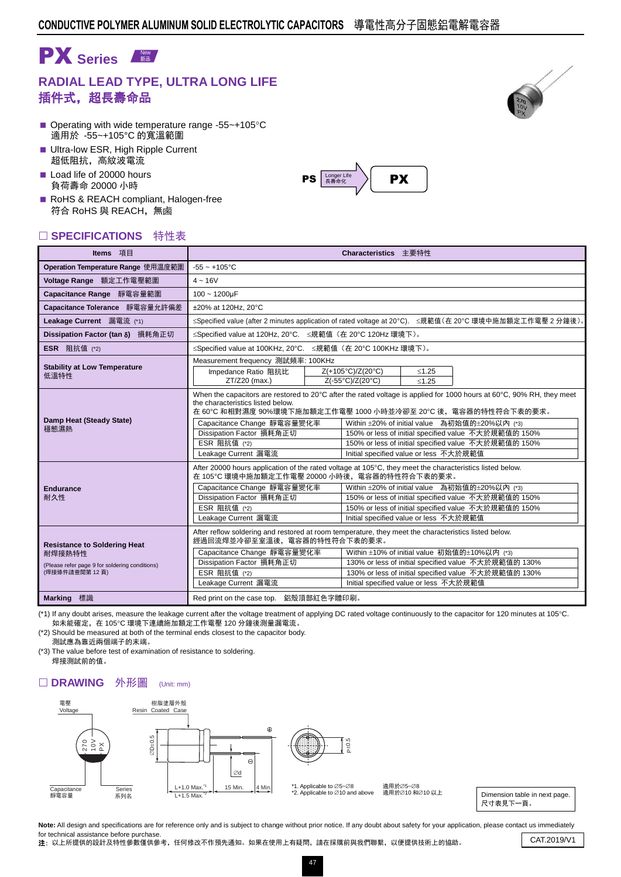

## **RADIAL LEAD TYPE, ULTRA LONG LIFE** 插件式,超長壽命品

- Operating with wide temperature range -55 $\sim$ +105 $\degree$ C 適用於 -55~+105°C 的寬溫範圍
- **Ultra-low ESR, High Ripple Current** 超低阻抗,高紋波電流
- Load life of 20000 hours 負荷壽命 20000 小時
- RoHS & REACH compliant, Halogen-free 符合 RoHS 與 REACH,無鹵

| □ SPECIFICATIONS 特性表                                                                                             |                                                                                                                                              |                                                                                                                                                                                                                                                                                                                                                                                                                     |  |  |  |  |
|------------------------------------------------------------------------------------------------------------------|----------------------------------------------------------------------------------------------------------------------------------------------|---------------------------------------------------------------------------------------------------------------------------------------------------------------------------------------------------------------------------------------------------------------------------------------------------------------------------------------------------------------------------------------------------------------------|--|--|--|--|
| Items 項目                                                                                                         |                                                                                                                                              | Characteristics 主要特性                                                                                                                                                                                                                                                                                                                                                                                                |  |  |  |  |
| Operation Temperature Range 使用温度範圍                                                                               | $-55 - +105$ °C                                                                                                                              |                                                                                                                                                                                                                                                                                                                                                                                                                     |  |  |  |  |
| Voltage Range 額定工作電壓範圍                                                                                           | $4 - 16V$                                                                                                                                    |                                                                                                                                                                                                                                                                                                                                                                                                                     |  |  |  |  |
| Capacitance Range 靜電容量範圍                                                                                         | $100 - 1200 \mu F$                                                                                                                           |                                                                                                                                                                                                                                                                                                                                                                                                                     |  |  |  |  |
| Capacitance Tolerance 靜電容量允許偏差                                                                                   | ±20% at 120Hz, 20°C                                                                                                                          |                                                                                                                                                                                                                                                                                                                                                                                                                     |  |  |  |  |
| Leakage Current 漏電流 (*1)                                                                                         |                                                                                                                                              | ≤Specified value (after 2 minutes application of rated voltage at 20°C). ≤規範值(在 20°C 環境中施加額定工作電壓 2 分鐘後)。                                                                                                                                                                                                                                                                                                            |  |  |  |  |
| Dissipation Factor (tan δ) 損耗角正切                                                                                 | ≤Specified value at 120Hz, 20°C. ≤規範值 (在 20°C 120Hz 環境下)。                                                                                    |                                                                                                                                                                                                                                                                                                                                                                                                                     |  |  |  |  |
| <b>ESR</b> 阻抗值 (*2)                                                                                              | ≤Specified value at 100KHz, 20°C. ≤規範值 (在 20°C 100KHz 環境下)。                                                                                  |                                                                                                                                                                                                                                                                                                                                                                                                                     |  |  |  |  |
| <b>Stability at Low Temperature</b><br>低溫特性                                                                      | Measurement frequency 測試頻率: 100KHz<br>Impedance Ratio 阻抗比<br>ZT/Z20 (max.)                                                                   | Z(+105°C)/Z(20°C)<br>$≤1.25$<br>Z(-55°C)/Z(20°C)<br>< 1.25                                                                                                                                                                                                                                                                                                                                                          |  |  |  |  |
| Damp Heat (Steady State)<br>穩態濕熱                                                                                 | the characteristics listed below.<br>Capacitance Change 靜電容量變化率<br>Dissipation Factor 損耗角正切<br>ESR 阻抗值 (*2)<br>Leakage Current 漏電流           | When the capacitors are restored to 20 $\degree$ C after the rated voltage is applied for 1000 hours at 60 $\degree$ C, 90% RH, they meet<br>在 60℃ 和相對濕度 90%環境下施加額定工作電壓 1000 小時並冷卻至 20℃ 後,電容器的特性符合下表的要求。<br>Within ±20% of initial value 為初始值的±20%以內 (*3)<br>150% or less of initial specified value 不大於規範值的 150%<br>150% or less of initial specified value 不大於規範值的 150%<br>Initial specified value or less 不大於規範值 |  |  |  |  |
| <b>Endurance</b><br>耐久性                                                                                          | 在 105℃ 環境中施加額定工作電壓 20000 小時後,電容器的特性符合下表的要求。<br>Capacitance Change 靜電容量變化率<br>Dissipation Factor 損耗角正切<br>ESR 阻抗值 (*2)<br>Leakage Current 漏電流 | After 20000 hours application of the rated voltage at 105°C, they meet the characteristics listed below.<br>Within ±20% of initial value 為初始值的±20%以內 (*3)<br>150% or less of initial specified value 不大於規範值的 150%<br>150% or less of initial specified value 不大於規範值的 150%<br>Initial specified value or less 不大於規範值                                                                                                 |  |  |  |  |
| <b>Resistance to Soldering Heat</b><br>耐焊接熱特性<br>(Please refer page 9 for soldering conditions)<br>(焊接條件請查閱第12頁) | 經過回流焊並冷卻至室溫後,電容器的特性符合下表的要求。<br>Capacitance Change 靜電容量變化率<br>Dissipation Factor 損耗角正切<br>ESR 阻抗值 (*2)<br>Leakage Current 漏電流                 | After reflow soldering and restored at room temperature, they meet the characteristics listed below.<br>Within ±10% of initial value 初始值的±10%以内 (*3)<br>130% or less of initial specified value 不大於規範值的 130%<br>130% or less of initial specified value 不大於規範值的 130%<br>Initial specified value or less 不大於規範值                                                                                                      |  |  |  |  |
| Marking 標識                                                                                                       | Red print on the case top. 鋁殼頂部紅色字體印刷。                                                                                                       |                                                                                                                                                                                                                                                                                                                                                                                                                     |  |  |  |  |

(\*1) If any doubt arises, measure the leakage current after the voltage treatment of applying DC rated voltage continuously to the capacitor for 120 minutes at 105°C. 如未能確定, 在 105℃ 環境下連續施加額定工作電壓 120 分鐘後測量漏電流。

(\*2) Should be measured at both of the terminal ends closest to the capacitor body. 測試應為靠近兩個端子的末端。

(\*3) The value before test of examination of resistance to soldering. 焊接測試前的值。

## □ DRAWING 外形圖 (Unit: mm)



適用於∅5~Ø8

適用於∅10 和∅10 以上

Dimension table in next page. 尺寸表見下一頁。

Note: All design and specifications are for reference only and is subject to change without prior notice. If any doubt about safety for your application, please contact us immediately for technical assistance before purchase.

Tor technical assistance before purchase.<br>2: 以上所提供的設計及特性參數僅供參考,任何修改不作預先通知。如果在使用上有疑問,請在採購前與我們聯繫,以便提供技術上的協助。 CAT.2019/V1